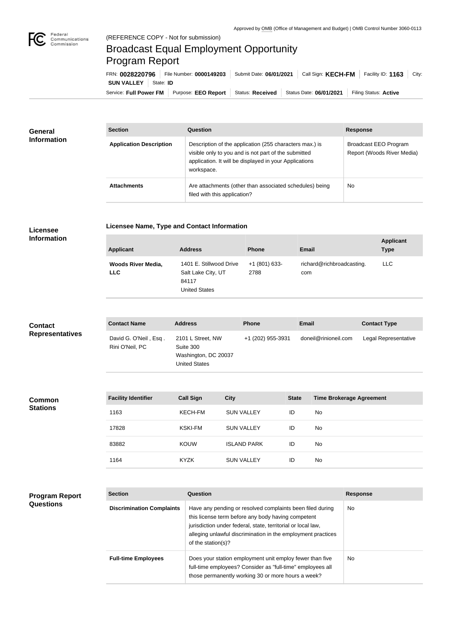

## Broadcast Equal Employment Opportunity Program Report

Service: Full Power FM Purpose: EEO Report | Status: Received | Status Date: 06/01/2021 | Filing Status: Active **SUN VALLEY** | State: **ID** FRN: **0028220796** File Number: **0000149203** Submit Date: **06/01/2021** Call Sign: **KECH-FM** Facility ID: **1163** City:

| <b>General</b><br><b>Information</b> | <b>Section</b>                 | <b>Question</b>                                                                                                                                                                         | <b>Response</b>                                     |
|--------------------------------------|--------------------------------|-----------------------------------------------------------------------------------------------------------------------------------------------------------------------------------------|-----------------------------------------------------|
|                                      | <b>Application Description</b> | Description of the application (255 characters max.) is<br>visible only to you and is not part of the submitted<br>application. It will be displayed in your Applications<br>workspace. | Broadcast EEO Program<br>Report (Woods River Media) |
|                                      | <b>Attachments</b>             | Are attachments (other than associated schedules) being<br>filed with this application?                                                                                                 | <b>No</b>                                           |

## **Licensee Information**

**Licensee Name, Type and Contact Information**

| <b>Applicant</b>                        | <b>Address</b>                                                                 | <b>Phone</b>          | Email                            | <b>Applicant</b><br><b>Type</b> |
|-----------------------------------------|--------------------------------------------------------------------------------|-----------------------|----------------------------------|---------------------------------|
| <b>Woods River Media,</b><br><b>LLC</b> | 1401 E. Stillwood Drive<br>Salt Lake City, UT<br>84117<br><b>United States</b> | +1 (801) 633-<br>2788 | richard@richbroadcasting.<br>com | <b>LLC</b>                      |

| <b>Contact</b>         | <b>Contact Name</b>                      | <b>Address</b>                                                                 | <b>Phone</b>      | <b>Email</b>         | <b>Contact Type</b>  |
|------------------------|------------------------------------------|--------------------------------------------------------------------------------|-------------------|----------------------|----------------------|
| <b>Representatives</b> | David G. O'Neil, Esq.<br>Rini O'Neil, PC | 2101 L Street, NW<br>Suite 300<br>Washington, DC 20037<br><b>United States</b> | +1 (202) 955-3931 | doneil@rinioneil.com | Legal Representative |

| <b>Common</b><br><b>Stations</b> | <b>Facility Identifier</b> | <b>Call Sign</b> | <b>City</b>        | <b>State</b> | <b>Time Brokerage Agreement</b> |
|----------------------------------|----------------------------|------------------|--------------------|--------------|---------------------------------|
|                                  | 1163                       | KECH-FM          | <b>SUN VALLEY</b>  | ID           | No                              |
|                                  | 17828                      | <b>KSKI-FM</b>   | <b>SUN VALLEY</b>  | ID           | No                              |
|                                  | 83882                      | <b>KOUW</b>      | <b>ISLAND PARK</b> | ID           | No                              |
|                                  | 1164                       | <b>KYZK</b>      | <b>SUN VALLEY</b>  | ID           | No                              |

| <b>Program Report</b><br><b>Questions</b> | <b>Section</b>                   | Question                                                                                                                                                                                                                                                              | <b>Response</b> |
|-------------------------------------------|----------------------------------|-----------------------------------------------------------------------------------------------------------------------------------------------------------------------------------------------------------------------------------------------------------------------|-----------------|
|                                           | <b>Discrimination Complaints</b> | Have any pending or resolved complaints been filed during<br>this license term before any body having competent<br>jurisdiction under federal, state, territorial or local law,<br>alleging unlawful discrimination in the employment practices<br>of the station(s)? | No.             |
|                                           | <b>Full-time Employees</b>       | Does your station employment unit employ fewer than five<br>full-time employees? Consider as "full-time" employees all<br>those permanently working 30 or more hours a week?                                                                                          | No.             |